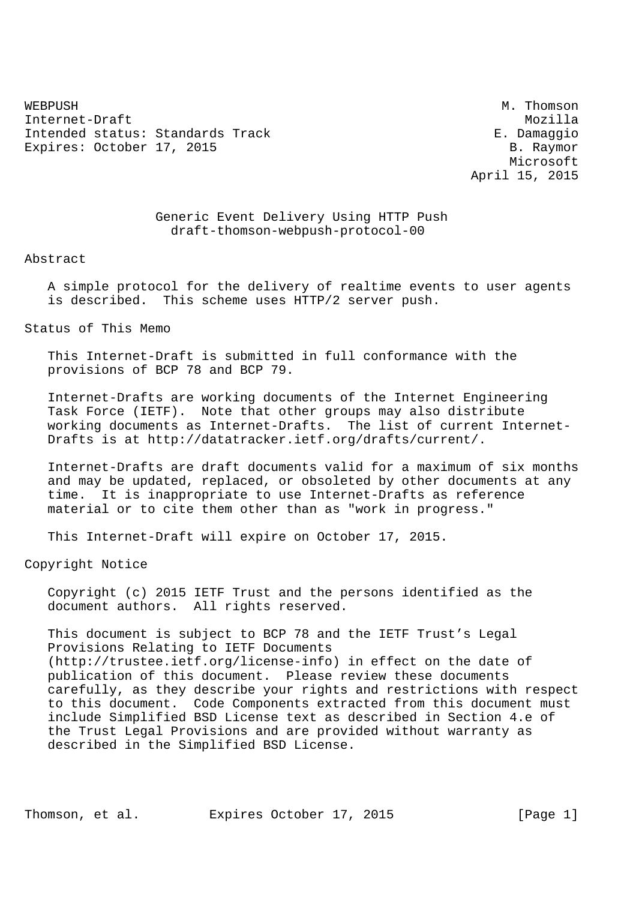WEBPUSH M. Thomson Internet-Draft Mozilla Intended status: Standards Track E. Damaggio Expires: October 17, 2015 B. Raymor

 Microsoft April 15, 2015

> Generic Event Delivery Using HTTP Push draft-thomson-webpush-protocol-00

Abstract

 A simple protocol for the delivery of realtime events to user agents is described. This scheme uses HTTP/2 server push.

Status of This Memo

 This Internet-Draft is submitted in full conformance with the provisions of BCP 78 and BCP 79.

 Internet-Drafts are working documents of the Internet Engineering Task Force (IETF). Note that other groups may also distribute working documents as Internet-Drafts. The list of current Internet- Drafts is at http://datatracker.ietf.org/drafts/current/.

 Internet-Drafts are draft documents valid for a maximum of six months and may be updated, replaced, or obsoleted by other documents at any time. It is inappropriate to use Internet-Drafts as reference material or to cite them other than as "work in progress."

This Internet-Draft will expire on October 17, 2015.

Copyright Notice

 Copyright (c) 2015 IETF Trust and the persons identified as the document authors. All rights reserved.

 This document is subject to BCP 78 and the IETF Trust's Legal Provisions Relating to IETF Documents (http://trustee.ietf.org/license-info) in effect on the date of publication of this document. Please review these documents carefully, as they describe your rights and restrictions with respect to this document. Code Components extracted from this document must include Simplified BSD License text as described in Section 4.e of the Trust Legal Provisions and are provided without warranty as described in the Simplified BSD License.

Thomson, et al. Expires October 17, 2015 [Page 1]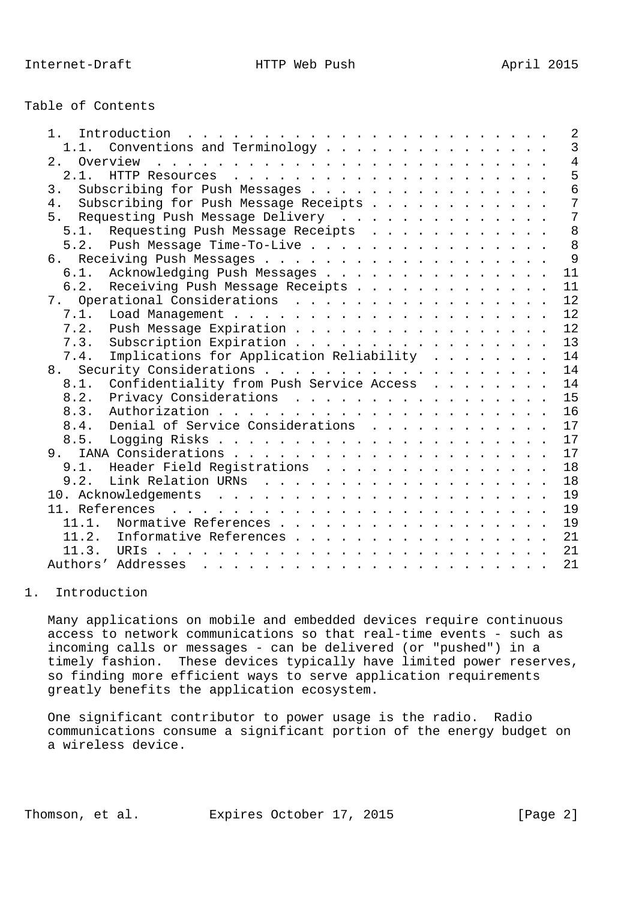| Table of Contents |  |
|-------------------|--|
|-------------------|--|

| $1$ .                                             | $\overline{2}$ |
|---------------------------------------------------|----------------|
| Conventions and Terminology<br>1.1.               | $\overline{3}$ |
| Overview<br>2.                                    | $\overline{4}$ |
|                                                   | 5              |
| Subscribing for Push Messages<br>$\overline{3}$ . | 6              |
| 4. Subscribing for Push Message Receipts          | $\overline{7}$ |
| 5. Requesting Push Message Delivery               | $\overline{7}$ |
| 5.1. Requesting Push Message Receipts             | 8              |
| 5.2. Push Message Time-To-Live                    | 8              |
|                                                   | - 9            |
| 6.1.<br>Acknowledging Push Messages               | 11             |
| 6.2. Receiving Push Message Receipts              | 11             |
| 7. Operational Considerations                     | 12             |
| 7.1.                                              | 12             |
| 7.2. Push Message Expiration                      | 12             |
| 7.3.<br>Subscription Expiration                   | 13             |
| Implications for Application Reliability<br>7.4.  | 14             |
|                                                   | 14             |
| Confidentiality from Push Service Access<br>8.1.  | 14             |
| Privacy Considerations<br>8.2.                    | 15             |
| 8.3.                                              | 16             |
| Denial of Service Considerations<br>8.4.          | 17             |
| 8.5.                                              | 17             |
|                                                   | 17             |
| 9.1. Header Field Registrations                   | 18             |
|                                                   | 18             |
|                                                   | 19             |
|                                                   | 19             |
| Normative References<br>11.1.                     | 19             |
| 11.2. Informative References                      | 21             |
| 11.3.                                             | 21             |
|                                                   | 21             |
|                                                   |                |

## 1. Introduction

 Many applications on mobile and embedded devices require continuous access to network communications so that real-time events - such as incoming calls or messages - can be delivered (or "pushed") in a timely fashion. These devices typically have limited power reserves, so finding more efficient ways to serve application requirements greatly benefits the application ecosystem.

 One significant contributor to power usage is the radio. Radio communications consume a significant portion of the energy budget on a wireless device.

Thomson, et al. Expires October 17, 2015 [Page 2]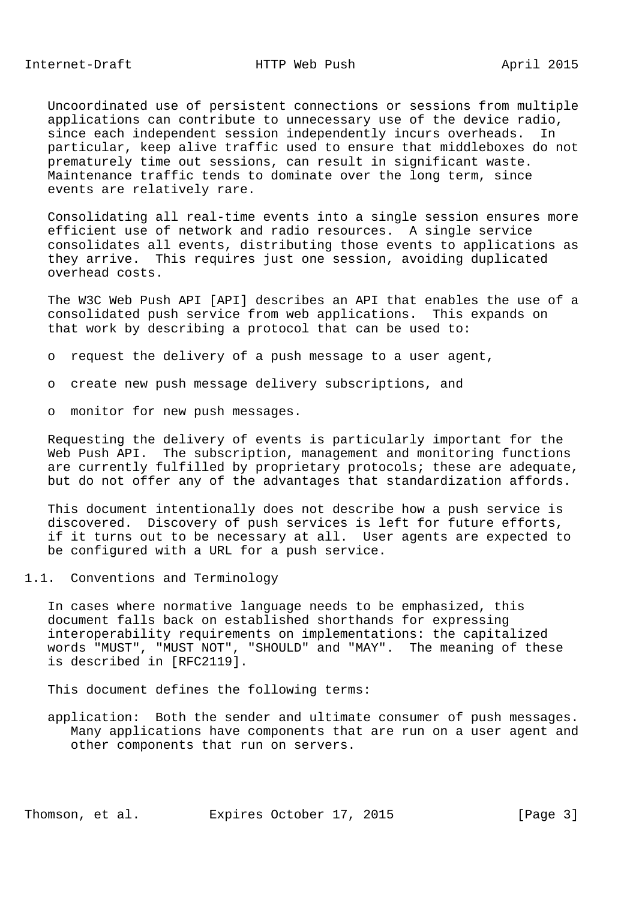Uncoordinated use of persistent connections or sessions from multiple applications can contribute to unnecessary use of the device radio, since each independent session independently incurs overheads. In particular, keep alive traffic used to ensure that middleboxes do not prematurely time out sessions, can result in significant waste. Maintenance traffic tends to dominate over the long term, since events are relatively rare.

 Consolidating all real-time events into a single session ensures more efficient use of network and radio resources. A single service consolidates all events, distributing those events to applications as they arrive. This requires just one session, avoiding duplicated overhead costs.

 The W3C Web Push API [API] describes an API that enables the use of a consolidated push service from web applications. This expands on that work by describing a protocol that can be used to:

- o request the delivery of a push message to a user agent,
- o create new push message delivery subscriptions, and
- o monitor for new push messages.

 Requesting the delivery of events is particularly important for the Web Push API. The subscription, management and monitoring functions are currently fulfilled by proprietary protocols; these are adequate, but do not offer any of the advantages that standardization affords.

 This document intentionally does not describe how a push service is discovered. Discovery of push services is left for future efforts, if it turns out to be necessary at all. User agents are expected to be configured with a URL for a push service.

1.1. Conventions and Terminology

 In cases where normative language needs to be emphasized, this document falls back on established shorthands for expressing interoperability requirements on implementations: the capitalized words "MUST", "MUST NOT", "SHOULD" and "MAY". The meaning of these is described in [RFC2119].

This document defines the following terms:

 application: Both the sender and ultimate consumer of push messages. Many applications have components that are run on a user agent and other components that run on servers.

Thomson, et al. Expires October 17, 2015 [Page 3]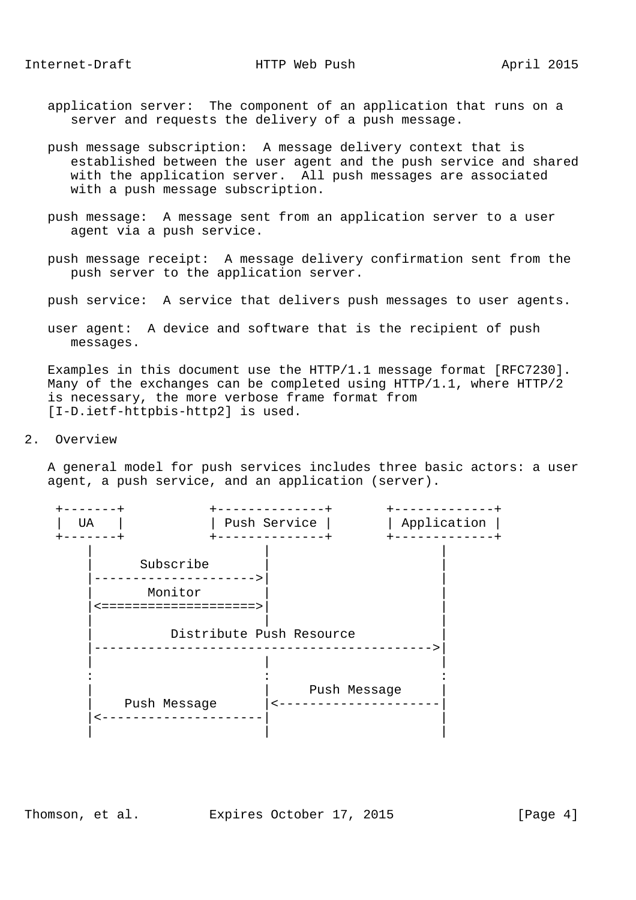- application server: The component of an application that runs on a server and requests the delivery of a push message.
- push message subscription: A message delivery context that is established between the user agent and the push service and shared with the application server. All push messages are associated with a push message subscription.
- push message: A message sent from an application server to a user agent via a push service.
- push message receipt: A message delivery confirmation sent from the push server to the application server.
- push service: A service that delivers push messages to user agents.
- user agent: A device and software that is the recipient of push messages.

 Examples in this document use the HTTP/1.1 message format [RFC7230]. Many of the exchanges can be completed using HTTP/1.1, where HTTP/2 is necessary, the more verbose frame format from [I-D.ietf-httpbis-http2] is used.

2. Overview

 A general model for push services includes three basic actors: a user agent, a push service, and an application (server).



Thomson, et al. Expires October 17, 2015 [Page 4]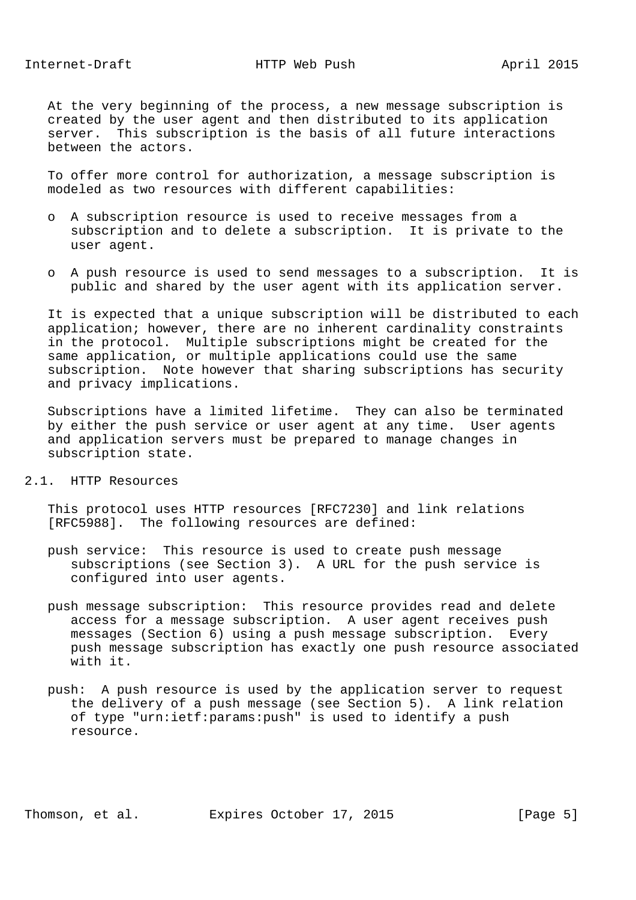At the very beginning of the process, a new message subscription is created by the user agent and then distributed to its application server. This subscription is the basis of all future interactions between the actors.

 To offer more control for authorization, a message subscription is modeled as two resources with different capabilities:

- o A subscription resource is used to receive messages from a subscription and to delete a subscription. It is private to the user agent.
- o A push resource is used to send messages to a subscription. It is public and shared by the user agent with its application server.

 It is expected that a unique subscription will be distributed to each application; however, there are no inherent cardinality constraints in the protocol. Multiple subscriptions might be created for the same application, or multiple applications could use the same subscription. Note however that sharing subscriptions has security and privacy implications.

 Subscriptions have a limited lifetime. They can also be terminated by either the push service or user agent at any time. User agents and application servers must be prepared to manage changes in subscription state.

2.1. HTTP Resources

 This protocol uses HTTP resources [RFC7230] and link relations [RFC5988]. The following resources are defined:

- push service: This resource is used to create push message subscriptions (see Section 3). A URL for the push service is configured into user agents.
- push message subscription: This resource provides read and delete access for a message subscription. A user agent receives push messages (Section 6) using a push message subscription. Every push message subscription has exactly one push resource associated with it.
- push: A push resource is used by the application server to request the delivery of a push message (see Section 5). A link relation of type "urn:ietf:params:push" is used to identify a push resource.

Thomson, et al. Expires October 17, 2015 [Page 5]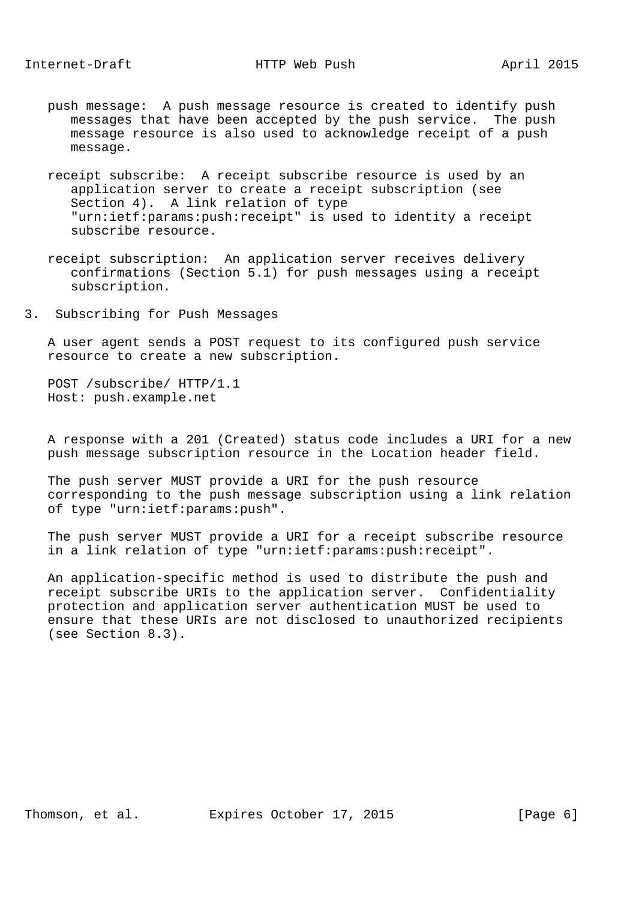- push message: A push message resource is created to identify push messages that have been accepted by the push service. The push message resource is also used to acknowledge receipt of a push message.
- receipt subscribe: A receipt subscribe resource is used by an application server to create a receipt subscription (see Section 4). A link relation of type "urn:ietf:params:push:receipt" is used to identity a receipt subscribe resource.
- receipt subscription: An application server receives delivery confirmations (Section 5.1) for push messages using a receipt subscription.
- 3. Subscribing for Push Messages

 A user agent sends a POST request to its configured push service resource to create a new subscription.

 POST /subscribe/ HTTP/1.1 Host: push.example.net

 A response with a 201 (Created) status code includes a URI for a new push message subscription resource in the Location header field.

 The push server MUST provide a URI for the push resource corresponding to the push message subscription using a link relation of type "urn:ietf:params:push".

 The push server MUST provide a URI for a receipt subscribe resource in a link relation of type "urn:ietf:params:push:receipt".

 An application-specific method is used to distribute the push and receipt subscribe URIs to the application server. Confidentiality protection and application server authentication MUST be used to ensure that these URIs are not disclosed to unauthorized recipients (see Section 8.3).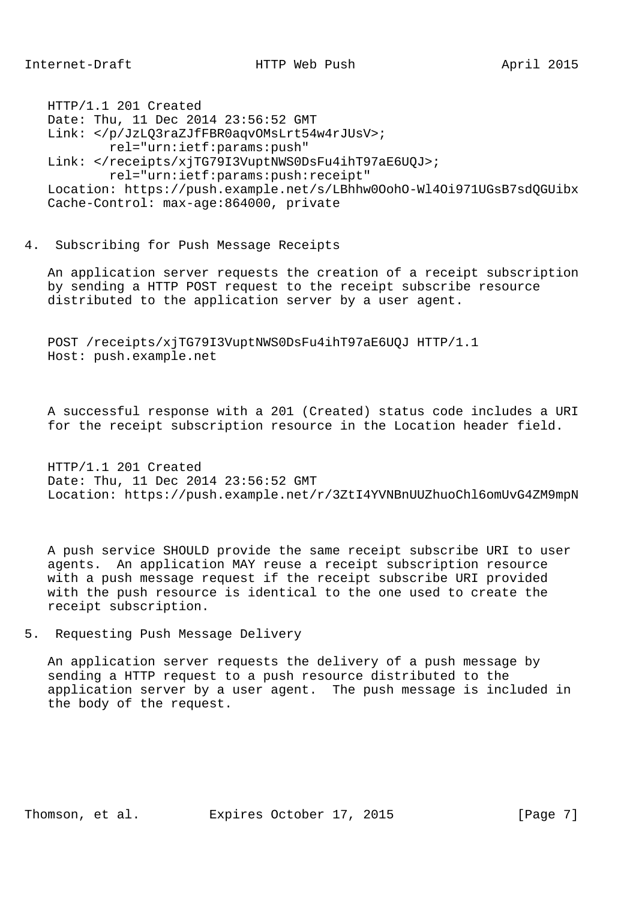HTTP/1.1 201 Created Date: Thu, 11 Dec 2014 23:56:52 GMT Link: </p/JzLQ3raZJfFBR0aqvOMsLrt54w4rJUsV>; rel="urn:ietf:params:push" Link: </receipts/xjTG79I3VuptNWS0DsFu4ihT97aE6UQJ>; rel="urn:ietf:params:push:receipt" Location: https://push.example.net/s/LBhhw0OohO-Wl4Oi971UGsB7sdQGUibx Cache-Control: max-age:864000, private

## 4. Subscribing for Push Message Receipts

 An application server requests the creation of a receipt subscription by sending a HTTP POST request to the receipt subscribe resource distributed to the application server by a user agent.

 POST /receipts/xjTG79I3VuptNWS0DsFu4ihT97aE6UQJ HTTP/1.1 Host: push.example.net

 A successful response with a 201 (Created) status code includes a URI for the receipt subscription resource in the Location header field.

 HTTP/1.1 201 Created Date: Thu, 11 Dec 2014 23:56:52 GMT Location: https://push.example.net/r/3ZtI4YVNBnUUZhuoChl6omUvG4ZM9mpN

 A push service SHOULD provide the same receipt subscribe URI to user agents. An application MAY reuse a receipt subscription resource with a push message request if the receipt subscribe URI provided with the push resource is identical to the one used to create the receipt subscription.

5. Requesting Push Message Delivery

 An application server requests the delivery of a push message by sending a HTTP request to a push resource distributed to the application server by a user agent. The push message is included in the body of the request.

Thomson, et al. Expires October 17, 2015 [Page 7]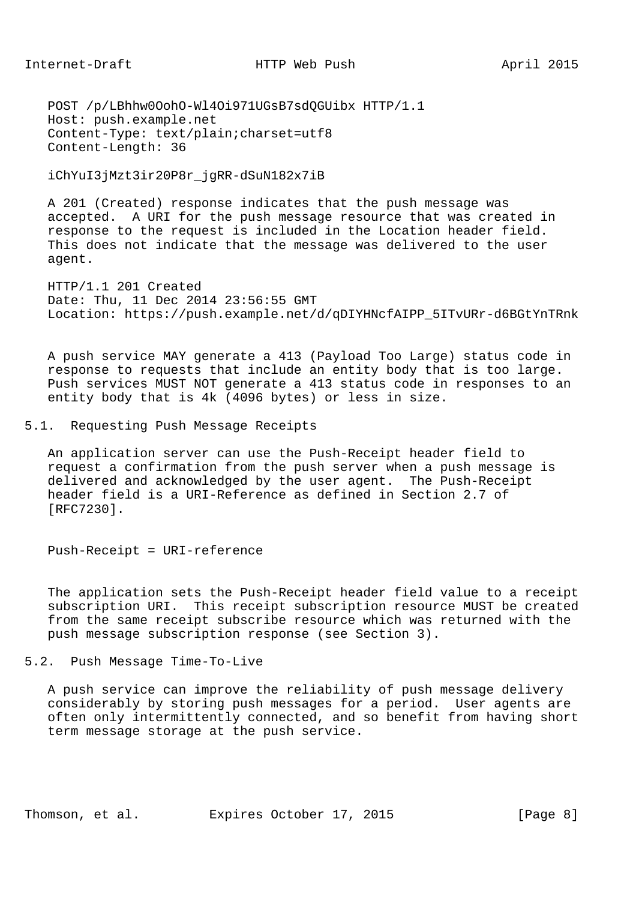POST /p/LBhhw0OohO-Wl4Oi971UGsB7sdQGUibx HTTP/1.1 Host: push.example.net Content-Type: text/plain;charset=utf8 Content-Length: 36

iChYuI3jMzt3ir20P8r\_jgRR-dSuN182x7iB

 A 201 (Created) response indicates that the push message was accepted. A URI for the push message resource that was created in response to the request is included in the Location header field. This does not indicate that the message was delivered to the user agent.

 HTTP/1.1 201 Created Date: Thu, 11 Dec 2014 23:56:55 GMT Location: https://push.example.net/d/qDIYHNcfAIPP\_5ITvURr-d6BGtYnTRnk

 A push service MAY generate a 413 (Payload Too Large) status code in response to requests that include an entity body that is too large. Push services MUST NOT generate a 413 status code in responses to an entity body that is 4k (4096 bytes) or less in size.

5.1. Requesting Push Message Receipts

 An application server can use the Push-Receipt header field to request a confirmation from the push server when a push message is delivered and acknowledged by the user agent. The Push-Receipt header field is a URI-Reference as defined in Section 2.7 of [RFC7230].

Push-Receipt = URI-reference

 The application sets the Push-Receipt header field value to a receipt subscription URI. This receipt subscription resource MUST be created from the same receipt subscribe resource which was returned with the push message subscription response (see Section 3).

5.2. Push Message Time-To-Live

 A push service can improve the reliability of push message delivery considerably by storing push messages for a period. User agents are often only intermittently connected, and so benefit from having short term message storage at the push service.

Thomson, et al. Expires October 17, 2015 [Page 8]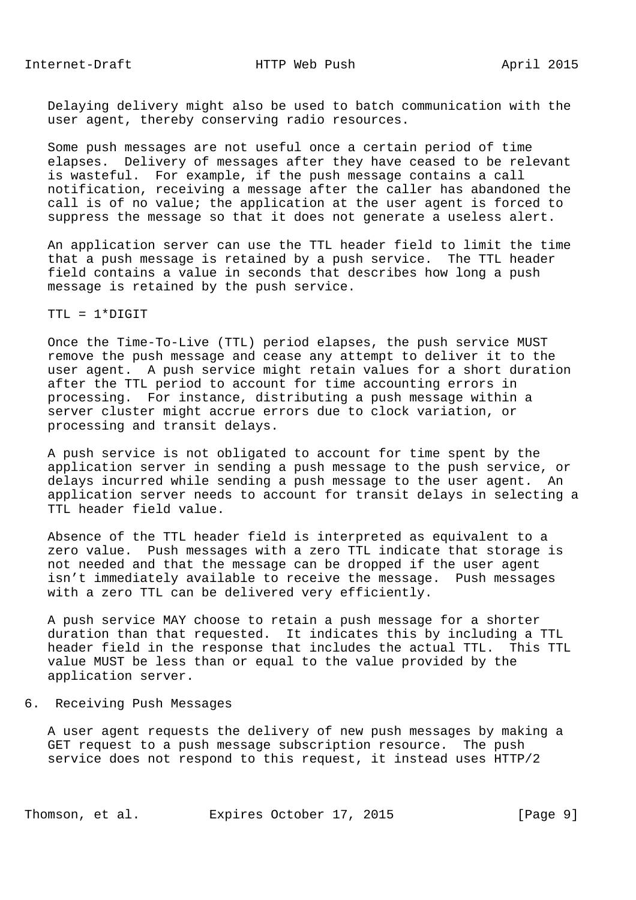Delaying delivery might also be used to batch communication with the user agent, thereby conserving radio resources.

 Some push messages are not useful once a certain period of time elapses. Delivery of messages after they have ceased to be relevant is wasteful. For example, if the push message contains a call notification, receiving a message after the caller has abandoned the call is of no value; the application at the user agent is forced to suppress the message so that it does not generate a useless alert.

 An application server can use the TTL header field to limit the time that a push message is retained by a push service. The TTL header field contains a value in seconds that describes how long a push message is retained by the push service.

 $TTL = 1*DTGTT$ 

 Once the Time-To-Live (TTL) period elapses, the push service MUST remove the push message and cease any attempt to deliver it to the user agent. A push service might retain values for a short duration after the TTL period to account for time accounting errors in processing. For instance, distributing a push message within a server cluster might accrue errors due to clock variation, or processing and transit delays.

 A push service is not obligated to account for time spent by the application server in sending a push message to the push service, or delays incurred while sending a push message to the user agent. An application server needs to account for transit delays in selecting a TTL header field value.

 Absence of the TTL header field is interpreted as equivalent to a zero value. Push messages with a zero TTL indicate that storage is not needed and that the message can be dropped if the user agent isn't immediately available to receive the message. Push messages with a zero TTL can be delivered very efficiently.

 A push service MAY choose to retain a push message for a shorter duration than that requested. It indicates this by including a TTL header field in the response that includes the actual TTL. This TTL value MUST be less than or equal to the value provided by the application server.

6. Receiving Push Messages

 A user agent requests the delivery of new push messages by making a GET request to a push message subscription resource. The push service does not respond to this request, it instead uses HTTP/2

Thomson, et al. Expires October 17, 2015 [Page 9]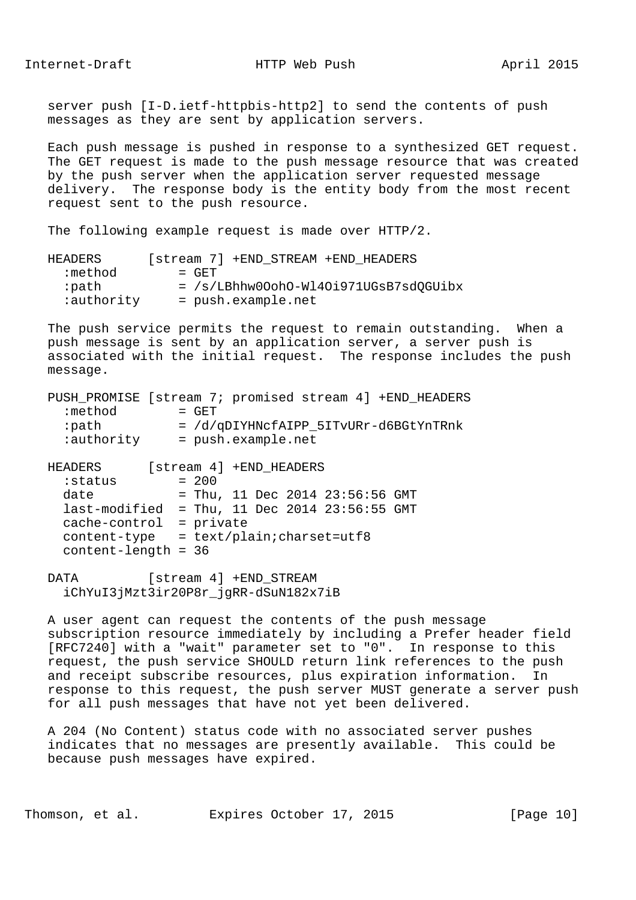server push [I-D.ietf-httpbis-http2] to send the contents of push messages as they are sent by application servers.

 Each push message is pushed in response to a synthesized GET request. The GET request is made to the push message resource that was created by the push server when the application server requested message delivery. The response body is the entity body from the most recent request sent to the push resource.

The following example request is made over HTTP/2.

| HEADERS    | [stream 7] +END STREAM +END HEADERS     |
|------------|-----------------------------------------|
| :method:   | $=$ GET                                 |
| :path      | $=$ /s/LBhhw0OohO-W14Oi971UGsB7sdQGUibx |
| :authority | = push.example.net                      |

 The push service permits the request to remain outstanding. When a push message is sent by an application server, a server push is associated with the initial request. The response includes the push message.

|            | PUSH PROMISE [stream 7; promised stream 4] +END HEADERS |
|------------|---------------------------------------------------------|
| :method    | $=$ GET                                                 |
| :path      | $=$ /d/qDIYHNcfAIPP 5ITvURr-d6BGtYnTRnk                 |
| :authority | = push.example.net                                      |
|            |                                                         |

HEADERS [stream 4] +END HEADERS  $:$ status = 200  $date = Thu, 11 Dec 2014 23:56:56 GMT$  $last-modified = Thu, 11 Dec 2014 23:56:55 GMT$  cache-control = private  $content-type = text/plainicharset=utf8$ content-length = 36

DATA [stream 4] +END STREAM iChYuI3jMzt3ir20P8r\_jgRR-dSuN182x7iB

 A user agent can request the contents of the push message subscription resource immediately by including a Prefer header field [RFC7240] with a "wait" parameter set to "0". In response to this request, the push service SHOULD return link references to the push and receipt subscribe resources, plus expiration information. In response to this request, the push server MUST generate a server push for all push messages that have not yet been delivered.

 A 204 (No Content) status code with no associated server pushes indicates that no messages are presently available. This could be because push messages have expired.

Thomson, et al. Expires October 17, 2015 [Page 10]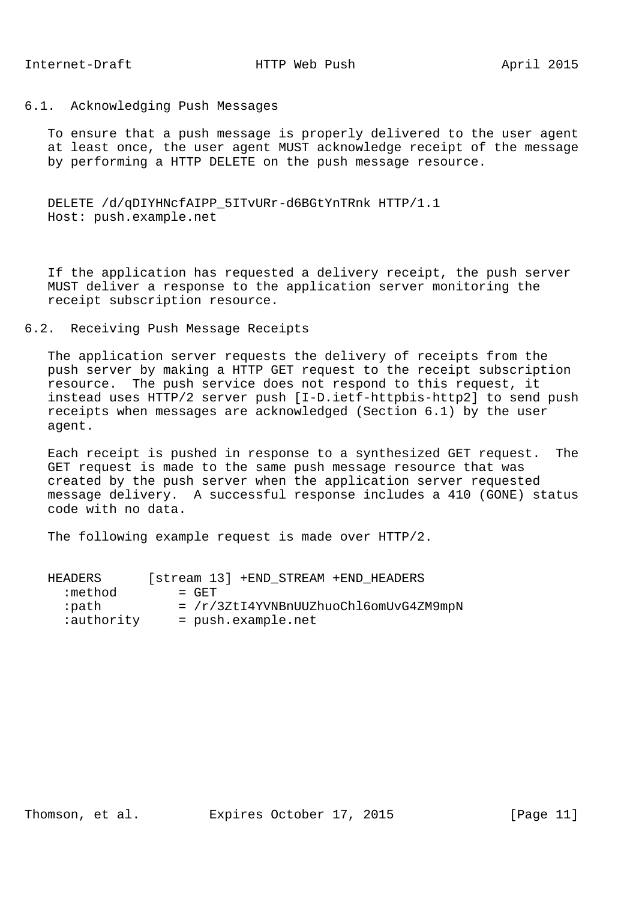# 6.1. Acknowledging Push Messages

 To ensure that a push message is properly delivered to the user agent at least once, the user agent MUST acknowledge receipt of the message by performing a HTTP DELETE on the push message resource.

 DELETE /d/qDIYHNcfAIPP\_5ITvURr-d6BGtYnTRnk HTTP/1.1 Host: push.example.net

 If the application has requested a delivery receipt, the push server MUST deliver a response to the application server monitoring the receipt subscription resource.

## 6.2. Receiving Push Message Receipts

 The application server requests the delivery of receipts from the push server by making a HTTP GET request to the receipt subscription resource. The push service does not respond to this request, it instead uses HTTP/2 server push [I-D.ietf-httpbis-http2] to send push receipts when messages are acknowledged (Section 6.1) by the user agent.

 Each receipt is pushed in response to a synthesized GET request. The GET request is made to the same push message resource that was created by the push server when the application server requested message delivery. A successful response includes a 410 (GONE) status code with no data.

The following example request is made over HTTP/2.

| HEADERS             | [stream 13] +END STREAM +END HEADERS                          |
|---------------------|---------------------------------------------------------------|
| :method             | $=$ GET                                                       |
| :path<br>:authority | $=$ /r/3ZtI4YVNBnUUZhuoChl6omUvG4ZM9mpN<br>= push.example.net |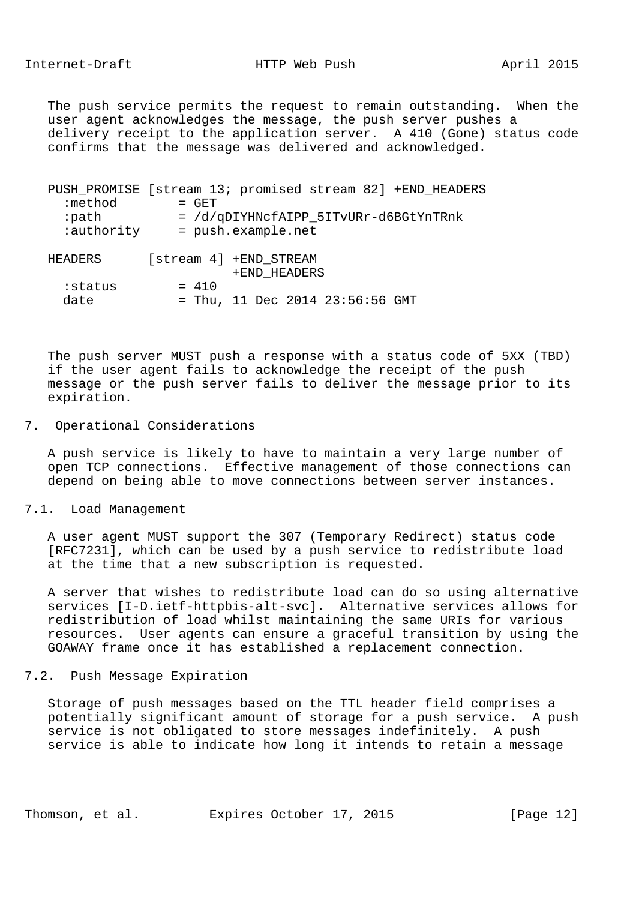The push service permits the request to remain outstanding. When the user agent acknowledges the message, the push server pushes a delivery receipt to the application server. A 410 (Gone) status code confirms that the message was delivered and acknowledged.

| :method             | PUSH_PROMISE [stream 13; promised stream 82] +END_HEADERS<br>$=$ GET |
|---------------------|----------------------------------------------------------------------|
| ∶path<br>:authority | = /d/qDIYHNcfAIPP 5ITvURr-d6BGtYnTRnk<br>= push.example.net          |
| HEADERS             | [stream 4] +END STREAM<br>+END HEADERS                               |
| ∶status<br>date     | $= 410$<br>= Thu, 11 Dec 2014 23:56:56 GMT                           |

 The push server MUST push a response with a status code of 5XX (TBD) if the user agent fails to acknowledge the receipt of the push message or the push server fails to deliver the message prior to its expiration.

7. Operational Considerations

 A push service is likely to have to maintain a very large number of open TCP connections. Effective management of those connections can depend on being able to move connections between server instances.

7.1. Load Management

 A user agent MUST support the 307 (Temporary Redirect) status code [RFC7231], which can be used by a push service to redistribute load at the time that a new subscription is requested.

 A server that wishes to redistribute load can do so using alternative services [I-D.ietf-httpbis-alt-svc]. Alternative services allows for redistribution of load whilst maintaining the same URIs for various resources. User agents can ensure a graceful transition by using the GOAWAY frame once it has established a replacement connection.

7.2. Push Message Expiration

 Storage of push messages based on the TTL header field comprises a potentially significant amount of storage for a push service. A push service is not obligated to store messages indefinitely. A push service is able to indicate how long it intends to retain a message

Thomson, et al. Expires October 17, 2015 [Page 12]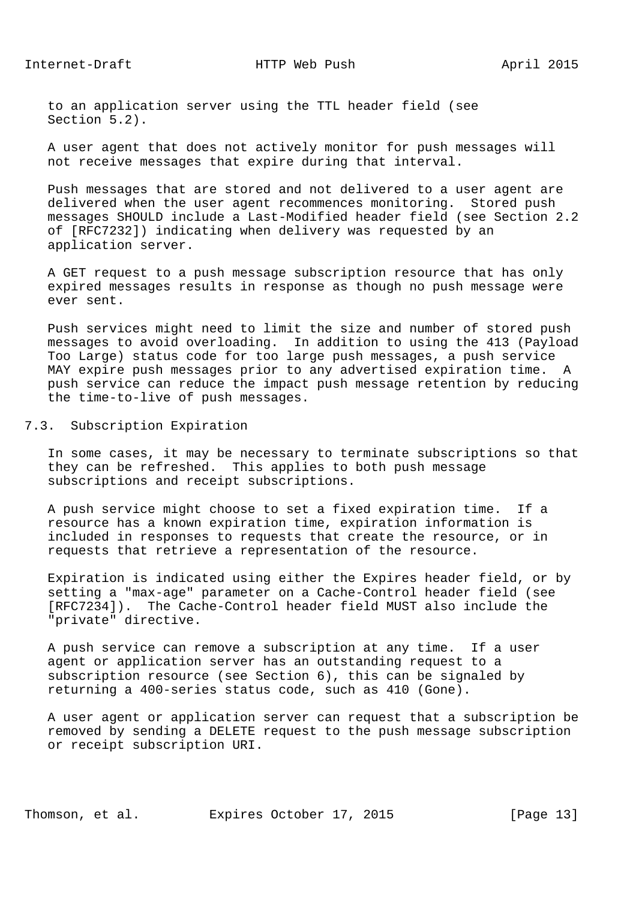to an application server using the TTL header field (see Section 5.2).

 A user agent that does not actively monitor for push messages will not receive messages that expire during that interval.

 Push messages that are stored and not delivered to a user agent are delivered when the user agent recommences monitoring. Stored push messages SHOULD include a Last-Modified header field (see Section 2.2 of [RFC7232]) indicating when delivery was requested by an application server.

 A GET request to a push message subscription resource that has only expired messages results in response as though no push message were ever sent.

 Push services might need to limit the size and number of stored push messages to avoid overloading. In addition to using the 413 (Payload Too Large) status code for too large push messages, a push service MAY expire push messages prior to any advertised expiration time. A push service can reduce the impact push message retention by reducing the time-to-live of push messages.

7.3. Subscription Expiration

 In some cases, it may be necessary to terminate subscriptions so that they can be refreshed. This applies to both push message subscriptions and receipt subscriptions.

 A push service might choose to set a fixed expiration time. If a resource has a known expiration time, expiration information is included in responses to requests that create the resource, or in requests that retrieve a representation of the resource.

 Expiration is indicated using either the Expires header field, or by setting a "max-age" parameter on a Cache-Control header field (see [RFC7234]). The Cache-Control header field MUST also include the "private" directive.

 A push service can remove a subscription at any time. If a user agent or application server has an outstanding request to a subscription resource (see Section 6), this can be signaled by returning a 400-series status code, such as 410 (Gone).

 A user agent or application server can request that a subscription be removed by sending a DELETE request to the push message subscription or receipt subscription URI.

Thomson, et al. Expires October 17, 2015 [Page 13]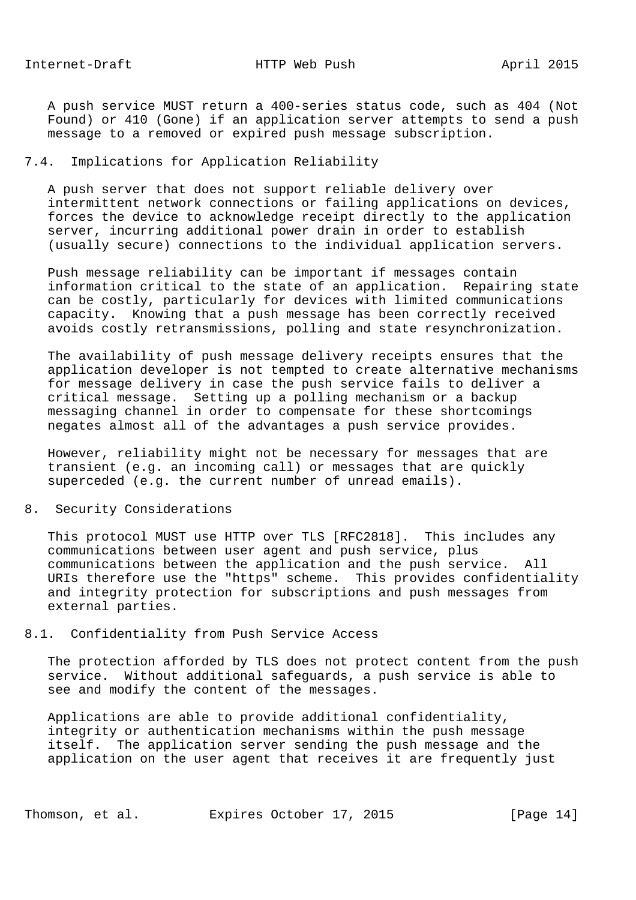A push service MUST return a 400-series status code, such as 404 (Not Found) or 410 (Gone) if an application server attempts to send a push message to a removed or expired push message subscription.

# 7.4. Implications for Application Reliability

 A push server that does not support reliable delivery over intermittent network connections or failing applications on devices, forces the device to acknowledge receipt directly to the application server, incurring additional power drain in order to establish (usually secure) connections to the individual application servers.

 Push message reliability can be important if messages contain information critical to the state of an application. Repairing state can be costly, particularly for devices with limited communications capacity. Knowing that a push message has been correctly received avoids costly retransmissions, polling and state resynchronization.

 The availability of push message delivery receipts ensures that the application developer is not tempted to create alternative mechanisms for message delivery in case the push service fails to deliver a critical message. Setting up a polling mechanism or a backup messaging channel in order to compensate for these shortcomings negates almost all of the advantages a push service provides.

 However, reliability might not be necessary for messages that are transient (e.g. an incoming call) or messages that are quickly superceded (e.g. the current number of unread emails).

# 8. Security Considerations

 This protocol MUST use HTTP over TLS [RFC2818]. This includes any communications between user agent and push service, plus communications between the application and the push service. All URIs therefore use the "https" scheme. This provides confidentiality and integrity protection for subscriptions and push messages from external parties.

### 8.1. Confidentiality from Push Service Access

 The protection afforded by TLS does not protect content from the push service. Without additional safeguards, a push service is able to see and modify the content of the messages.

 Applications are able to provide additional confidentiality, integrity or authentication mechanisms within the push message itself. The application server sending the push message and the application on the user agent that receives it are frequently just

Thomson, et al. Expires October 17, 2015 [Page 14]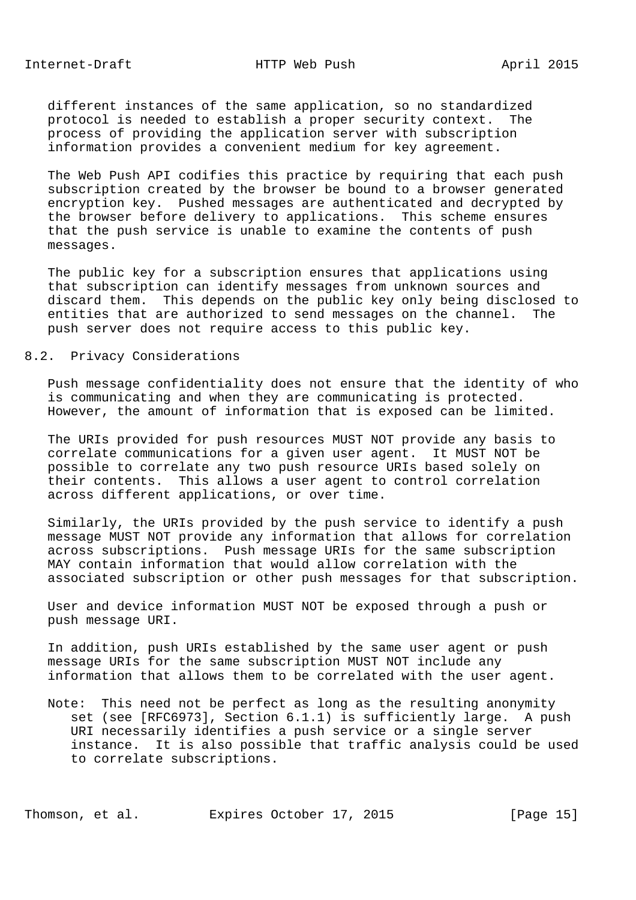different instances of the same application, so no standardized protocol is needed to establish a proper security context. The process of providing the application server with subscription information provides a convenient medium for key agreement.

 The Web Push API codifies this practice by requiring that each push subscription created by the browser be bound to a browser generated encryption key. Pushed messages are authenticated and decrypted by the browser before delivery to applications. This scheme ensures that the push service is unable to examine the contents of push messages.

 The public key for a subscription ensures that applications using that subscription can identify messages from unknown sources and discard them. This depends on the public key only being disclosed to entities that are authorized to send messages on the channel. The push server does not require access to this public key.

# 8.2. Privacy Considerations

 Push message confidentiality does not ensure that the identity of who is communicating and when they are communicating is protected. However, the amount of information that is exposed can be limited.

 The URIs provided for push resources MUST NOT provide any basis to correlate communications for a given user agent. It MUST NOT be possible to correlate any two push resource URIs based solely on their contents. This allows a user agent to control correlation across different applications, or over time.

 Similarly, the URIs provided by the push service to identify a push message MUST NOT provide any information that allows for correlation across subscriptions. Push message URIs for the same subscription MAY contain information that would allow correlation with the associated subscription or other push messages for that subscription.

 User and device information MUST NOT be exposed through a push or push message URI.

 In addition, push URIs established by the same user agent or push message URIs for the same subscription MUST NOT include any information that allows them to be correlated with the user agent.

 Note: This need not be perfect as long as the resulting anonymity set (see [RFC6973], Section 6.1.1) is sufficiently large. A push URI necessarily identifies a push service or a single server instance. It is also possible that traffic analysis could be used to correlate subscriptions.

Thomson, et al. Expires October 17, 2015 [Page 15]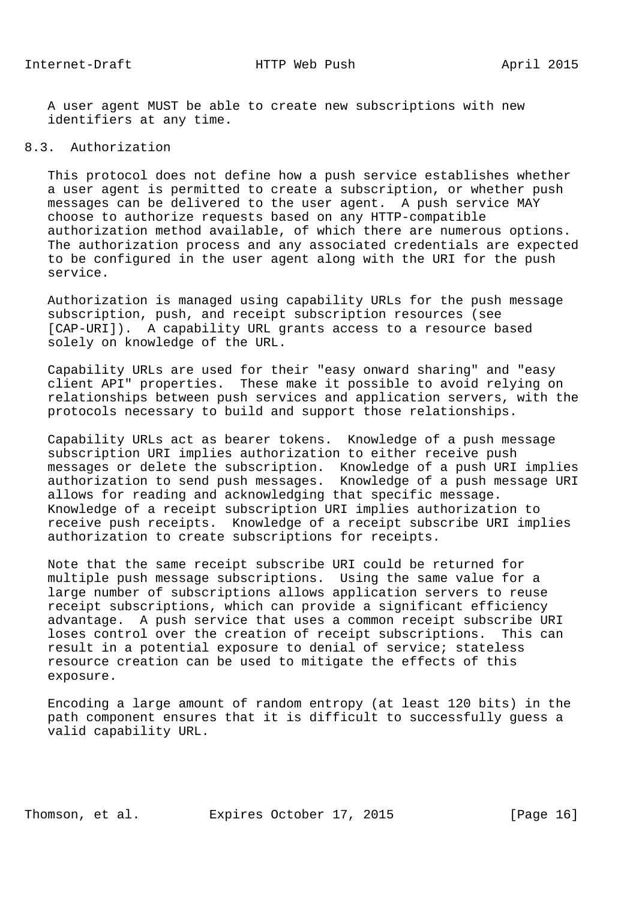A user agent MUST be able to create new subscriptions with new identifiers at any time.

# 8.3. Authorization

 This protocol does not define how a push service establishes whether a user agent is permitted to create a subscription, or whether push messages can be delivered to the user agent. A push service MAY choose to authorize requests based on any HTTP-compatible authorization method available, of which there are numerous options. The authorization process and any associated credentials are expected to be configured in the user agent along with the URI for the push service.

 Authorization is managed using capability URLs for the push message subscription, push, and receipt subscription resources (see [CAP-URI]). A capability URL grants access to a resource based solely on knowledge of the URL.

 Capability URLs are used for their "easy onward sharing" and "easy client API" properties. These make it possible to avoid relying on relationships between push services and application servers, with the protocols necessary to build and support those relationships.

 Capability URLs act as bearer tokens. Knowledge of a push message subscription URI implies authorization to either receive push messages or delete the subscription. Knowledge of a push URI implies authorization to send push messages. Knowledge of a push message URI allows for reading and acknowledging that specific message. Knowledge of a receipt subscription URI implies authorization to receive push receipts. Knowledge of a receipt subscribe URI implies authorization to create subscriptions for receipts.

 Note that the same receipt subscribe URI could be returned for multiple push message subscriptions. Using the same value for a large number of subscriptions allows application servers to reuse receipt subscriptions, which can provide a significant efficiency advantage. A push service that uses a common receipt subscribe URI loses control over the creation of receipt subscriptions. This can result in a potential exposure to denial of service; stateless resource creation can be used to mitigate the effects of this exposure.

 Encoding a large amount of random entropy (at least 120 bits) in the path component ensures that it is difficult to successfully guess a valid capability URL.

Thomson, et al. Expires October 17, 2015 [Page 16]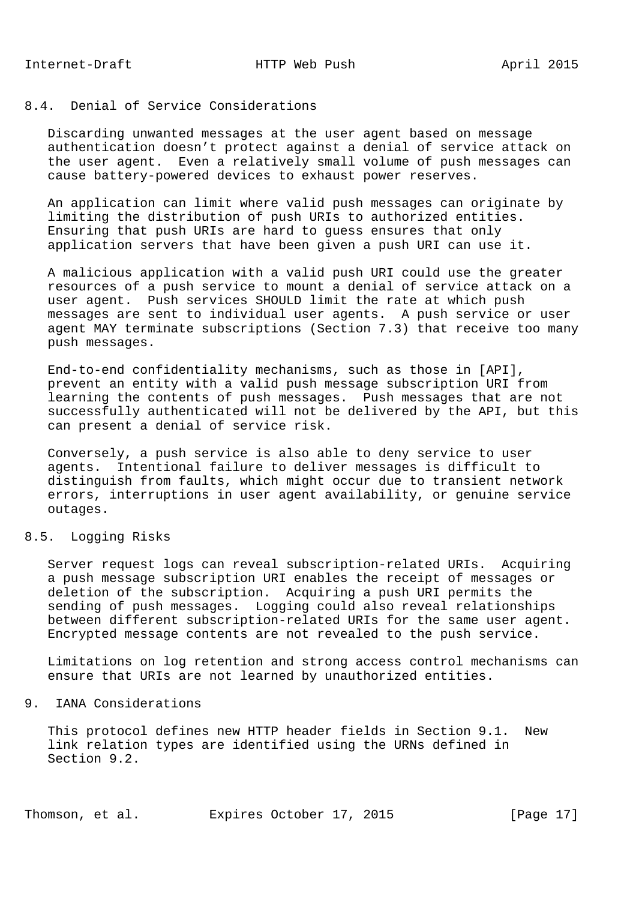# 8.4. Denial of Service Considerations

 Discarding unwanted messages at the user agent based on message authentication doesn't protect against a denial of service attack on the user agent. Even a relatively small volume of push messages can cause battery-powered devices to exhaust power reserves.

 An application can limit where valid push messages can originate by limiting the distribution of push URIs to authorized entities. Ensuring that push URIs are hard to guess ensures that only application servers that have been given a push URI can use it.

 A malicious application with a valid push URI could use the greater resources of a push service to mount a denial of service attack on a user agent. Push services SHOULD limit the rate at which push messages are sent to individual user agents. A push service or user agent MAY terminate subscriptions (Section 7.3) that receive too many push messages.

 End-to-end confidentiality mechanisms, such as those in [API], prevent an entity with a valid push message subscription URI from learning the contents of push messages. Push messages that are not successfully authenticated will not be delivered by the API, but this can present a denial of service risk.

 Conversely, a push service is also able to deny service to user agents. Intentional failure to deliver messages is difficult to distinguish from faults, which might occur due to transient network errors, interruptions in user agent availability, or genuine service outages.

## 8.5. Logging Risks

 Server request logs can reveal subscription-related URIs. Acquiring a push message subscription URI enables the receipt of messages or deletion of the subscription. Acquiring a push URI permits the sending of push messages. Logging could also reveal relationships between different subscription-related URIs for the same user agent. Encrypted message contents are not revealed to the push service.

 Limitations on log retention and strong access control mechanisms can ensure that URIs are not learned by unauthorized entities.

# 9. IANA Considerations

 This protocol defines new HTTP header fields in Section 9.1. New link relation types are identified using the URNs defined in Section 9.2.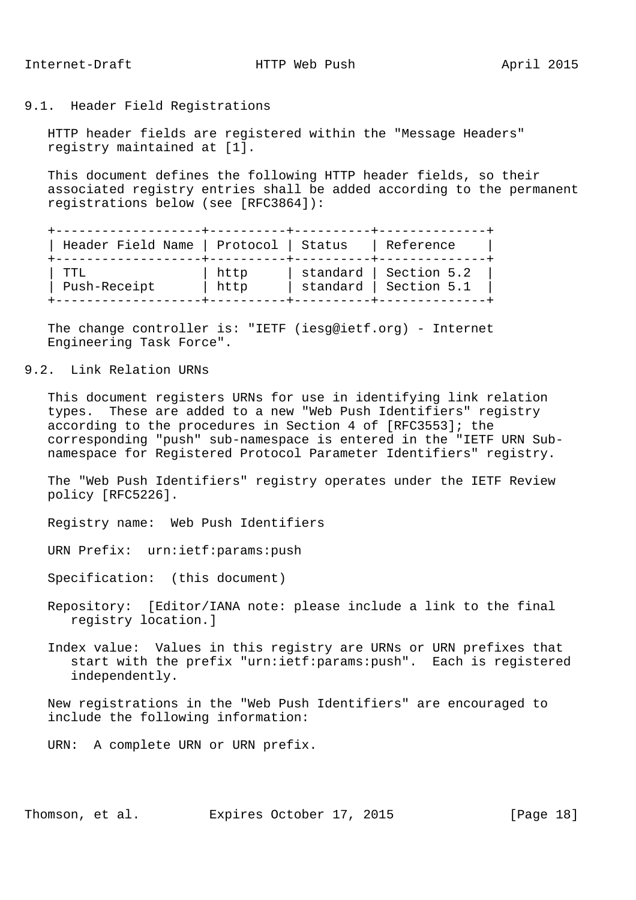9.1. Header Field Registrations

 HTTP header fields are registered within the "Message Headers" registry maintained at [1].

 This document defines the following HTTP header fields, so their associated registry entries shall be added according to the permanent registrations below (see [RFC3864]):

| Header Field Name | Protocol   Status |          | Reference   |
|-------------------|-------------------|----------|-------------|
| TTT.              | http              | standard | Section 5.2 |
| Push-Receipt      | http              | standard | Section 5.1 |

 The change controller is: "IETF (iesg@ietf.org) - Internet Engineering Task Force".

9.2. Link Relation URNs

 This document registers URNs for use in identifying link relation types. These are added to a new "Web Push Identifiers" registry according to the procedures in Section 4 of [RFC3553]; the corresponding "push" sub-namespace is entered in the "IETF URN Sub namespace for Registered Protocol Parameter Identifiers" registry.

 The "Web Push Identifiers" registry operates under the IETF Review policy [RFC5226].

Registry name: Web Push Identifiers

URN Prefix: urn:ietf:params:push

Specification: (this document)

- Repository: [Editor/IANA note: please include a link to the final registry location.]
- Index value: Values in this registry are URNs or URN prefixes that start with the prefix "urn:ietf:params:push". Each is registered independently.

 New registrations in the "Web Push Identifiers" are encouraged to include the following information:

URN: A complete URN or URN prefix.

Thomson, et al. Expires October 17, 2015 [Page 18]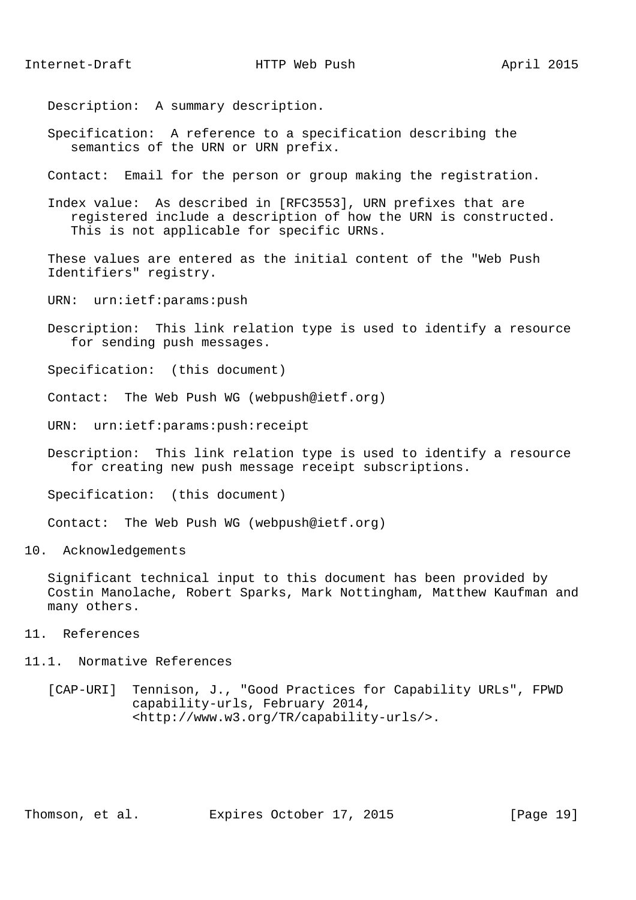Description: A summary description.

 Specification: A reference to a specification describing the semantics of the URN or URN prefix.

Contact: Email for the person or group making the registration.

 Index value: As described in [RFC3553], URN prefixes that are registered include a description of how the URN is constructed. This is not applicable for specific URNs.

 These values are entered as the initial content of the "Web Push Identifiers" registry.

URN: urn:ietf:params:push

 Description: This link relation type is used to identify a resource for sending push messages.

Specification: (this document)

Contact: The Web Push WG (webpush@ietf.org)

URN: urn:ietf:params:push:receipt

 Description: This link relation type is used to identify a resource for creating new push message receipt subscriptions.

Specification: (this document)

Contact: The Web Push WG (webpush@ietf.org)

10. Acknowledgements

 Significant technical input to this document has been provided by Costin Manolache, Robert Sparks, Mark Nottingham, Matthew Kaufman and many others.

11. References

11.1. Normative References

 [CAP-URI] Tennison, J., "Good Practices for Capability URLs", FPWD capability-urls, February 2014, <http://www.w3.org/TR/capability-urls/>.

Thomson, et al. Expires October 17, 2015 [Page 19]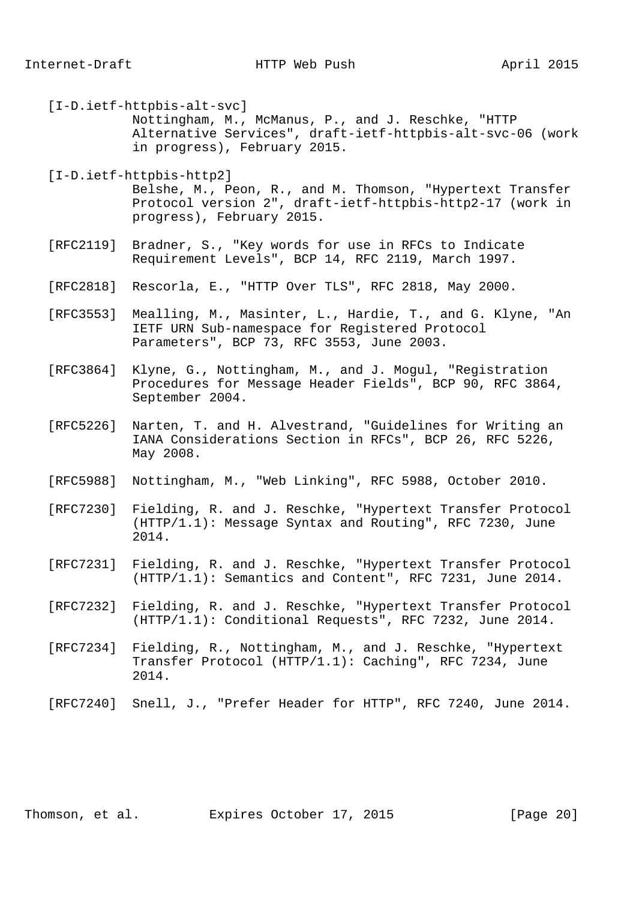- [I-D.ietf-httpbis-alt-svc] Nottingham, M., McManus, P., and J. Reschke, "HTTP Alternative Services", draft-ietf-httpbis-alt-svc-06 (work in progress), February 2015.
- [I-D.ietf-httpbis-http2] Belshe, M., Peon, R., and M. Thomson, "Hypertext Transfer Protocol version 2", draft-ietf-httpbis-http2-17 (work in progress), February 2015.
- [RFC2119] Bradner, S., "Key words for use in RFCs to Indicate Requirement Levels", BCP 14, RFC 2119, March 1997.
- [RFC2818] Rescorla, E., "HTTP Over TLS", RFC 2818, May 2000.
- [RFC3553] Mealling, M., Masinter, L., Hardie, T., and G. Klyne, "An IETF URN Sub-namespace for Registered Protocol Parameters", BCP 73, RFC 3553, June 2003.
- [RFC3864] Klyne, G., Nottingham, M., and J. Mogul, "Registration Procedures for Message Header Fields", BCP 90, RFC 3864, September 2004.
- [RFC5226] Narten, T. and H. Alvestrand, "Guidelines for Writing an IANA Considerations Section in RFCs", BCP 26, RFC 5226, May 2008.
- [RFC5988] Nottingham, M., "Web Linking", RFC 5988, October 2010.
- [RFC7230] Fielding, R. and J. Reschke, "Hypertext Transfer Protocol (HTTP/1.1): Message Syntax and Routing", RFC 7230, June 2014.
- [RFC7231] Fielding, R. and J. Reschke, "Hypertext Transfer Protocol (HTTP/1.1): Semantics and Content", RFC 7231, June 2014.
- [RFC7232] Fielding, R. and J. Reschke, "Hypertext Transfer Protocol (HTTP/1.1): Conditional Requests", RFC 7232, June 2014.
- [RFC7234] Fielding, R., Nottingham, M., and J. Reschke, "Hypertext Transfer Protocol (HTTP/1.1): Caching", RFC 7234, June 2014.
- [RFC7240] Snell, J., "Prefer Header for HTTP", RFC 7240, June 2014.

Thomson, et al. Expires October 17, 2015 [Page 20]